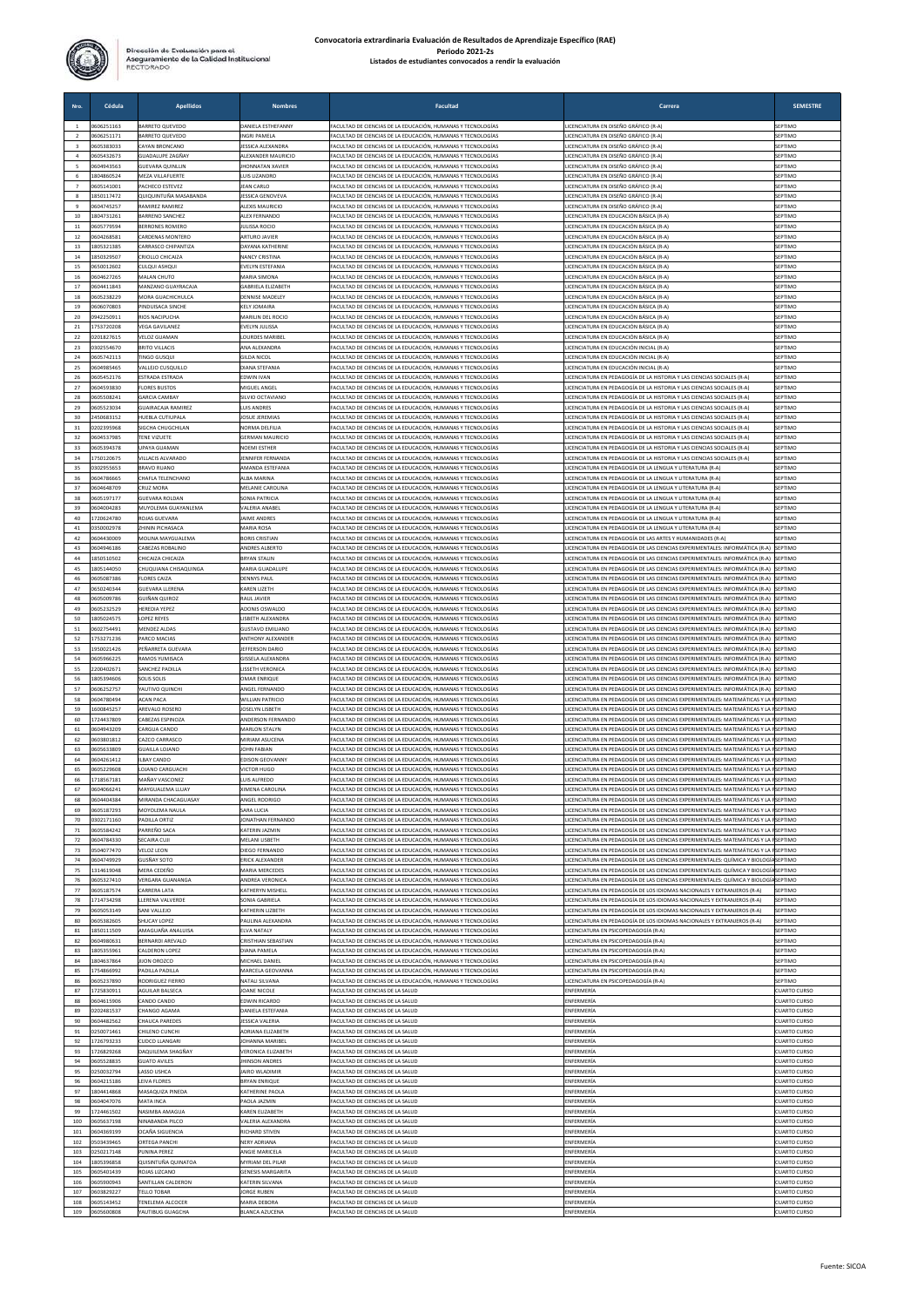

|                          | Cédula                   | <b>Apellidos</b>                                  | <b>Nombres</b>                                      | <b>Facultad</b>                                                                                                            | Carrera                                                                                                                                                                      | <b>SEMESTRE</b>                            |
|--------------------------|--------------------------|---------------------------------------------------|-----------------------------------------------------|----------------------------------------------------------------------------------------------------------------------------|------------------------------------------------------------------------------------------------------------------------------------------------------------------------------|--------------------------------------------|
| $\mathbf{1}$             | 1606251163               | <b>BARRETO QUEVEDO</b>                            | DANIELA ESTHEFANNY                                  | ACULTAD DE CIENCIAS DE LA EDUCACIÓN, HUMANAS Y TECNOLOGÍAS                                                                 | LICENCIATURA EN DISEÑO GRÁFICO (R-A)                                                                                                                                         | SEPTIMO                                    |
|                          | 1606251171<br>1605383033 | BARRETO QUEVEDO<br>CAYAN BRONCANO                 | INGRI PAMELA<br><b>ESSICA ALEXANDRA</b>             | ACULTAD DE CIENCIAS DE LA EDUCACIÓN, HUMANAS Y TECNOLOGÍAS<br>ACULTAD DE CIENCIAS DE LA EDUCACIÓN. HUMANAS Y TECNOLOGÍAS   | LICENCIATURA EN DISEÑO GRÁFICO (R-A)<br>LICENCIATURA EN DISEÑO GRÁFICO (R-A)                                                                                                 | SEPTIMO<br>SEPTIMO                         |
| $\ddot{a}$               | 605432673                | SUADALUPE ZAGÑAY                                  | <b>ALEXANDER MAURICIO</b>                           | ACULTAD DE CIENCIAS DE LA EDUCACIÓN, HUMANAS Y TECNOLOGÍAS                                                                 | LICENCIATURA EN DISEÑO GRÁFICO (R-A)                                                                                                                                         | SEPTIMO                                    |
| 5                        | 604943563                | SUEVARA QUINLLIN                                  | HONNATAN XAVIER                                     | ACULTAD DE CIENCIAS DE LA EDUCACIÓN, HUMANAS Y TECNOLOGÍAS<br>ACULTAD DE CIENCIAS DE LA EDUCACIÓN, HUMANAS Y TECNOLOGÍAS   | LICENCIATURA EN DISEÑO GRÁFICO (R-A)<br>LICENCIATURA EN DISEÑO GRÁFICO (R-A)                                                                                                 | SEPTIMO<br>SEPTIMO                         |
| $\overline{\phantom{a}}$ | 1804860524<br>0605141001 | MEZA VILLAFUERTE<br>PACHECO ESTEVEZ               | UIS LIZANDRO<br><b>EAN CARLO</b>                    | ACULTAD DE CIENCIAS DE LA EDUCACIÓN. HUMANAS Y TECNOLOGÍAS                                                                 | LICENCIATURA EN DISEÑO GRÁFICO (R-A)                                                                                                                                         | SEPTIMO                                    |
| 8                        | 1850117472               | QUIQUINTUÑA MASABANDA                             | <b>ESSICA GENOVEVA</b>                              | FACULTAD DE CIENCIAS DE LA EDUCACIÓN. HUMANAS Y TECNOLOGÍAS                                                                | <b>LICENCIATURA EN DISEÑO GRÁFICO (R-A)</b>                                                                                                                                  | SEPTIMO                                    |
| $\mathsf q$<br>10        | 604745257<br>804731261   | RAMIREZ RAMIREZ<br><b>BARRENO SANCHEZ</b>         | <b>ALEXIS MAURICIC</b><br>LEX FERNANDO              | ACULTAD DE CIENCIAS DE LA EDUCACIÓN, HUMANAS Y TECNOLOGÍAS<br>ACULTAD DE CIENCIAS DE LA EDUCACIÓN, HUMANAS Y TECNOLOGÍAS   | LICENCIATURA EN DISEÑO GRÁFICO (R-A)<br>LICENCIATURA EN EDUCACIÓN BÁSICA (R-A)                                                                                               | SEPTIMO<br>SEPTIMO                         |
| 11                       | 605779594                | BERRONES ROMERC                                   | ULISSA ROCIO                                        | ACULTAD DE CIENCIAS DE LA EDUCACIÓN, HUMANAS Y TECNOLOGÍAS                                                                 | LICENCIATURA EN EDUCACIÓN BÁSICA (R-A)                                                                                                                                       | SEPTIMO                                    |
| 12<br>13                 | 604268581<br>1805321385  | CARDENAS MONTERO<br>CARRASCO CHIPANTIZA           | <b>ARTURO JAVIER</b><br>DAYANA KATHERINE            | FACULTAD DE CIENCIAS DE LA EDUCACIÓN. HUMANAS Y TECNOLOGÍAS<br>FACULTAD DE CIENCIAS DE LA EDUCACIÓN. HUMANAS Y TECNOLOGÍAS | LICENCIATURA EN EDUCACIÓN BÁSICA (R-A)<br>LICENCIATURA EN EDUCACIÓN BÁSICA (R-A)                                                                                             | SEPTIMO<br>SEPTIMO                         |
| 14                       | 1850329507               | CRIOLLO CHICAIZA                                  | <b>NANCY CRISTINA</b>                               | FACULTAD DE CIENCIAS DE LA EDUCACIÓN, HUMANAS Y TECNOLOGÍAS                                                                | LICENCIATURA EN EDUCACIÓN BÁSICA (R-A)                                                                                                                                       | SEPTIMO                                    |
| 15<br>16                 | 650012602<br>604627265   | CULQUI ASHQUI<br><b>MALAN CHUTO</b>               | EVELYN ESTEFANIA<br><b>MARIA SIMON</b>              | FACULTAD DE CIENCIAS DE LA EDUCACIÓN. HUMANAS Y TECNOLOGÍAS<br>ACULTAD DE CIENCIAS DE LA EDUCACIÓN, HUMANAS Y TECNOLOGÍAS  | LICENCIATURA EN EDUCACIÓN RÁSICA (R-A)<br>LICENCIATURA EN EDUCACIÓN BÁSICA (R-A)                                                                                             | SEPTIMO<br>SEPTIMO                         |
| 17                       | 604411843                | MANZANO GUAYRACAJA                                | ABRIELA ELIZABETH                                   | ACULTAD DE CIENCIAS DE LA EDUCACIÓN, HUMANAS Y TECNOLOGÍAS                                                                 | LICENCIATURA EN EDUCACIÓN BÁSICA (R-A)                                                                                                                                       | SEPTIMO                                    |
| 18<br>19                 | 0605238229<br>1606070803 | <b>MORA GUACHICHULCA</b><br>PINDUISACA SINCHE     | <b>DENNISE MADELEY</b><br>KELY JOMAIRA              | ACULTAD DE CIENCIAS DE LA EDUCACIÓN. HUMANAS Y TECNOLOGÍAS<br>FACULTAD DE CIENCIAS DE LA EDUCACIÓN, HUMANAS Y TECNOLOGÍAS  | LICENCIATURA EN EDUCACIÓN RÁSICA (R-A)<br>LICENCIATURA EN EDUCACIÓN BÁSICA (R-A)                                                                                             | SEPTIMO<br>SEPTIMO                         |
| 20                       | 942250911                | RIOS NACIPUCHA                                    | MARILIN DEL ROCIO                                   | FACULTAD DE CIENCIAS DE LA EDUCACIÓN, HUMANAS Y TECNOLOGÍAS                                                                | LICENCIATURA EN EDUCACIÓN BÁSICA (R-A)                                                                                                                                       | SEPTIMO                                    |
| 21<br>22                 | 753720208<br>0201827615  | <b>VEGA GAVILANEZ</b><br><b>VELOZ GUAMAN</b>      | EVELYN JULISSA<br><b>OURDES MARIBEL</b>             | FACULTAD DE CIENCIAS DE LA EDUCACIÓN. HUMANAS Y TECNOLOGÍAS<br>FACULTAD DE CIENCIAS DE LA EDUCACIÓN, HUMANAS Y TECNOLOGÍAS | LICENCIATURA EN EDUCACIÓN BÁSICA (R-A)<br>LICENCIATURA EN EDUCACIÓN BÁSICA (R-A)                                                                                             | SEPTIMO<br>SEPTIMO                         |
| 23                       | 302554670                | <b>BRITO VILLACIS</b>                             | ANA ALEXANDRA                                       | FACULTAD DE CIENCIAS DE LA EDUCACIÓN, HUMANAS Y TECNOLOGÍAS                                                                | LICENCIATURA EN EDUCACIÓN INICIAL (R-A)                                                                                                                                      | SEPTIMO                                    |
| 24                       | 605742113                | <b>TINGO GUSQUI</b>                               | <b>SILDA NICOL</b>                                  | FACULTAD DE CIENCIAS DE LA EDUCACIÓN. HUMANAS Y TECNOLOGÍAS                                                                | LICENCIATURA EN EDUCACIÓN INICIAL (R-A)                                                                                                                                      | SEPTIMO                                    |
| 25<br>26                 | 604985465<br>605452176   | VALLEJO CUSQUILLO<br>ESTRADA ESTRADA              | <b>DIANA STEFANIA</b><br>EDWIN IVAN                 | FACULTAD DE CIENCIAS DE LA EDUCACIÓN, HUMANAS Y TECNOLOGÍAS<br>FACULTAD DE CIENCIAS DE LA EDUCACIÓN, HUMANAS Y TECNOLOGÍAS | LICENCIATURA EN EDUCACIÓN INICIAL (R-A)<br>LICENCIATURA EN PEDAGOGÍA DE LA HISTORIA Y LAS CIENCIAS SOCIALES (R-A)                                                            | SEPTIMO<br>SEPTIMO                         |
| 27                       | 604593830                | <b>FLORES BUSTOS</b>                              | MIGUEL ANGEL                                        | FACULTAD DE CIENCIAS DE LA EDUCACIÓN. HUMANAS Y TECNOLOGÍAS                                                                | LICENCIATURA EN PEDAGOGÍA DE LA HISTORIA Y LAS CIENCIAS SOCIALES (R-A                                                                                                        | SEPTIMO                                    |
| 28<br>29                 | 605508241<br>605523034   | <b>GARCIA CAMBAY</b><br><b>SUAIRACAJA RAMIREZ</b> | SILVIO OCTAVIANO<br>UIS ANDRES                      | ACULTAD DE CIENCIAS DE LA EDUCACIÓN, HUMANAS Y TECNOLOGÍAS<br>FACULTAD DE CIENCIAS DE LA EDUCACIÓN. HUMANAS Y TECNOLOGÍAS  | LICENCIATURA EN PEDAGOGÍA DE LA HISTORIA Y LAS CIENCIAS SOCIALES (R-A)<br>LICENCIATURA EN PEDAGOGÍA DE LA HISTORIA Y LAS CIENCIAS SOCIALES (R-A                              | SEPTIMO<br>SEPTIMO                         |
| 30                       | 450683152                | <b>IUEBLA CUTIUPALA</b>                           | <b>OSUE JEREMIAS</b>                                | ACULTAD DE CIENCIAS DE LA EDUCACIÓN. HUMANAS Y TECNOLOGÍAS                                                                 | LICENCIATURA EN PEDAGOGÍA DE LA HISTORIA Y LAS CIENCIAS SOCIALES (R-A)                                                                                                       | SEPTIMO                                    |
| 31<br>32                 | 0202395968<br>604537985  | SIGCHA CHUGCHILAN<br><b>TENE VIZUETE</b>          | NORMA DELFILIA<br><b>GERMAN MAURICIO</b>            | FACULTAD DE CIENCIAS DE LA EDUCACIÓN. HUMANAS Y TECNOLOGÍAS<br>ACULTAD DE CIENCIAS DE LA EDUCACIÓN, HUMANAS Y TECNOLOGÍAS  | LICENCIATURA EN PEDAGOGÍA DE LA HISTORIA Y LAS CIENCIAS SOCIALES (R-A)<br>LICENCIATURA EN PEDAGOGÍA DE LA HISTORIA Y LAS CIENCIAS SOCIALES (R-A)                             | SEPTIMO<br>SEPTIMO                         |
| 33                       | 605394378                | UPAYA GUAMAN                                      | <b>NOEMI ESTHER</b>                                 | ACULTAD DE CIENCIAS DE LA EDUCACIÓN. HUMANAS Y TECNOLOGÍAS                                                                 | LICENCIATURA EN PEDAGOGÍA DE LA HISTORIA Y LAS CIENCIAS SOCIALES (R-A)                                                                                                       | SEPTIMO                                    |
| 34                       | 750120675                | <b>IILLACIS ALVARADO</b>                          | ENNIFER FERNANDA                                    | ACULTAD DE CIENCIAS DE LA EDUCACIÓN, HUMANAS Y TECNOLOGÍAS                                                                 | LICENCIATURA EN PEDAGOGÍA DE LA HISTORIA Y LAS CIENCIAS SOCIALES (R-A                                                                                                        | SEPTIMO                                    |
| 35<br>36                 | 302955653<br>604786665   | <b>BRAVO RUANO</b><br>CHAFLA TELENCHANO           | MANDA ESTEFANIA<br>LBA MARINA                       | ACULTAD DE CIENCIAS DE LA EDUCACIÓN. HUMANAS Y TECNOLOGÍAS<br>ACULTAD DE CIENCIAS DE LA EDUCACIÓN, HUMANAS Y TECNOLOGÍAS   | LICENCIATURA EN PEDAGOGÍA DE LA LENGUA Y LITERATURA (R-A)<br>LICENCIATURA EN PEDAGOGÍA DE LA LENGUA Y LITERATURA (R-A)                                                       | SEPTIMO<br>SEPTIMO                         |
| 37                       | 604648709                | CRUZ MORA                                         | MELANIE CAROLINA                                    | FACULTAD DE CIENCIAS DE LA EDUCACIÓN. HUMANAS Y TECNOLOGÍAS                                                                | LICENCIATURA EN PEDAGOGÍA DE LA LENGUA Y LITERATURA (R-A)                                                                                                                    | SEPTIMO                                    |
| 38<br>39                 | 605197177<br>604004283   | <b>GUEVARA ROLDAN</b><br>MUYOLEMA GUAYANLEMA      | <b>SONIA PATRICIA</b><br>VALERIA ANABEL             | FACULTAD DE CIENCIAS DE LA EDUCACIÓN, HUMANAS Y TECNOLOGÍAS<br>FACULTAD DE CIENCIAS DE LA EDUCACIÓN, HUMANAS Y TECNOLOGÍAS | LICENCIATURA EN PEDAGOGÍA DE LA LENGUA Y LITERATURA (R-A)<br>LICENCIATURA EN PEDAGOGÍA DE LA LENGUA Y LITERATURA (R-A)                                                       | SEPTIMO<br>SEPTIMO                         |
| 40                       | 720624780                | ROJAS GUEVARA                                     | <b>AIME ANDRES</b>                                  | FACULTAD DE CIENCIAS DE LA EDUCACIÓN. HUMANAS Y TECNOLOGÍAS                                                                | LICENCIATURA EN PEDAGOGÍA DE LA LENGUA Y LITERATURA (R-A)                                                                                                                    | SEPTIMO                                    |
| 41<br>42                 | 350002978<br>604430009   | HININ PICHASACA<br>MOLINA MAYGUALEMA              | <b>AARIA ROSA</b><br><b>BORIS CRISTIAN</b>          | ACULTAD DE CIENCIAS DE LA EDUCACIÓN. HUMANAS Y TECNOLOGÍAS<br>ACULTAD DE CIENCIAS DE LA EDUCACIÓN, HUMANAS Y TECNOLOGÍAS   | LICENCIATURA EN PEDAGOGÍA DE LA LENGUA Y LITERATURA (R-A<br>LICENCIATURA EN PEDAGOGÍA DE LAS ARTES Y HUMANIDADES (R-A)                                                       | SEPTIMO<br>SEPTIMO                         |
| 43                       | 0604946186               | CABEZAS ROBALINO                                  | ANDRES ALBERTO                                      | FACULTAD DE CIENCIAS DE LA EDUCACIÓN. HUMANAS Y TECNOLOGÍAS                                                                | LICENCIATURA EN PEDAGOGÍA DE LAS CIENCIAS EXPERIMENTALES: INFORMÁTICA (R-A)                                                                                                  | SEPTIMO                                    |
| 44                       | 1850510502               | CHICAIZA CHICAIZA                                 | BRYAN STALIN                                        | FACULTAD DE CIENCIAS DE LA EDUCACIÓN, HUMANAS Y TECNOLOGÍAS                                                                | LICENCIATURA EN PEDAGOGÍA DE LAS CIENCIAS EXPERIMENTALES: INFORMÁTICA (R-A)                                                                                                  | SEPTIMO                                    |
| 45<br>46                 | 805144050<br>605087386   | CHUQUIANA CHISAQUINGA<br><b>FLORES CAIZA</b>      | MARIA GUADALUPE<br><b>DENNYS PAUL</b>               | FACULTAD DE CIENCIAS DE LA EDUCACIÓN, HUMANAS Y TECNOLOGÍAS<br>FACULTAD DE CIENCIAS DE LA EDUCACIÓN. HUMANAS Y TECNOLOGÍAS | LICENCIATURA EN PEDAGOGÍA DE LAS CIENCIAS EXPERIMENTALES: INFORMÁTICA (R-A)<br>LICENCIATURA EN PEDAGOGÍA DE LAS CIENCIAS EXPERIMENTALES: INFORMÁTICA (R-A) SEPTIMO           | SEPTIMO                                    |
| 47                       | 0650240344               | <b>GUEVARA LLERENA</b>                            | KAREN LIZETH                                        | FACULTAD DE CIENCIAS DE LA EDUCACIÓN, HUMANAS Y TECNOLOGÍAS                                                                | LICENCIATURA EN PEDAGOGÍA DE LAS CIENCIAS EXPERIMENTALES: INFORMÁTICA (R-A) SEPTIMO                                                                                          |                                            |
| 48<br>49                 | 605009786<br>605232529   | SUIÑAN QUIROZ<br>HEREDIA YEPEZ                    | RAUL JAVIER<br><b>IDONIS OSWALDO</b>                | ACULTAD DE CIENCIAS DE LA EDUCACIÓN, HUMANAS Y TECNOLOGÍAS<br>ACULTAD DE CIENCIAS DE LA EDUCACIÓN. HUMANAS Y TECNOLOGÍAS   | LICENCIATURA EN PEDAGOGÍA DE LAS CIENCIAS EXPERIMENTALES: INFORMÁTICA (R-A)<br>LICENCIATURA EN PEDAGOGÍA DE LAS CIENCIAS EXPERIMENTALES: INFORMÁTICA (R-A)                   | SEPTIMO<br>SEPTIMO                         |
| 50                       | 805024575                | LOPEZ REYES                                       | ISBETH ALEXANDRA                                    | FACULTAD DE CIENCIAS DE LA EDUCACIÓN, HUMANAS Y TECNOLOGÍAS                                                                | LICENCIATURA EN PEDAGOGÍA DE LAS CIENCIAS EXPERIMENTALES: INFORMÁTICA (R-A) SEPTIMO                                                                                          |                                            |
| 51<br>52                 | 1602754491<br>753271236  | MENDEZ ALDAS<br>PARCO MACIAS                      | <b>GUSTAVO EMILIANO</b><br><b>ANTHONY ALEXANDER</b> | FACULTAD DE CIENCIAS DE LA EDUCACIÓN, HUMANAS Y TECNOLOGÍAS<br>FACULTAD DE CIENCIAS DE LA EDUCACIÓN. HUMANAS Y TECNOLOGÍAS | LICENCIATURA EN PEDAGOGÍA DE LAS CIENCIAS EXPERIMENTALES: INFORMÁTICA (R-A) SEPTIMO<br>LICENCIATURA EN PEDAGOGÍA DE LAS CIENCIAS EXPERIMENTALES: INFORMÁTICA (R-A)           | SEPTIMO                                    |
| 53                       | 1950021426               | PEÑARRETA GUEVARA                                 | <b>JEFFERSON DARIC</b>                              | FACULTAD DE CIENCIAS DE LA EDUCACIÓN, HUMANAS Y TECNOLOGÍAS                                                                | LICENCIATURA EN PEDAGOGÍA DE LAS CIENCIAS EXPERIMENTALES: INFORMÁTICA (R-A)                                                                                                  | SEPTIMO                                    |
| 54                       | 605966225                | RAMOS YUMISAC/<br>SANCHEZ PADILLA                 | <b>ISSELA ALEXANDRA</b><br><b>ISSETH VERONICA</b>   | ACULTAD DE CIENCIAS DE LA EDUCACIÓN, HUMANAS Y TECNOLOGÍAS                                                                 | LICENCIATURA EN PEDAGOGÍA DE LAS CIENCIAS EXPERIMENTALES: INFORMÁTICA (R-A)<br>LICENCIATURA EN PEDAGOGÍA DE LAS CIENCIAS EXPERIMENTALES: INFORMÁTICA (R-A)                   | SEPTIMO                                    |
| 55<br>56                 | 2200402671<br>1805394606 | <b>SOLIS SOLIS</b>                                | <b><i>OMAR ENRIQUE</i></b>                          | ACULTAD DE CIENCIAS DE LA EDUCACIÓN. HUMANAS Y TECNOLOGÍAS<br>FACULTAD DE CIENCIAS DE LA EDUCACIÓN, HUMANAS Y TECNOLOGÍAS  | LICENCIATURA EN PEDAGOGÍA DE LAS CIENCIAS EXPERIMENTALES: INFORMÁTICA (R-A) SEPTIMO                                                                                          | SEPTIMO                                    |
| 57                       | 1606252757               | YAUTIVO QUINCHI                                   | ANGEL FERNANDO                                      | FACULTAD DE CIENCIAS DE LA EDUCACIÓN, HUMANAS Y TECNOLOGÍAS                                                                | LICENCIATURA EN PEDAGOGÍA DE LAS CIENCIAS EXPERIMENTALES: INFORMÁTICA (R-A) SEPTIMO                                                                                          |                                            |
| 58<br>59                 | 604780494<br>600845257   | <b>ACAN PACA</b><br><b><i>AREVALO ROSERO</i></b>  | WILLIAN PATRICIO<br><b>OSELYN LISBETH</b>           | ACULTAD DE CIENCIAS DE LA EDUCACIÓN, HUMANAS Y TECNOLOGÍAS<br>ACULTAD DE CIENCIAS DE LA EDUCACIÓN, HUMANAS Y TECNOLOGÍAS   | LICENCIATURA EN PEDAGOGÍA DE LAS CIENCIAS EXPERIMENTALES: MATEMÁTICAS Y LA PSEPTIMO<br>LICENCIATURA EN PEDAGOGÍA DE LAS CIENCIAS EXPERIMENTALES: MATEMÁTICAS Y LA RSEPTIMO   |                                            |
| 60                       | 724437809                | CABEZAS ESPINOZA                                  | <b>INDERSON FERNANDO</b>                            | FACULTAD DE CIENCIAS DE LA EDUCACIÓN. HUMANAS Y TECNOLOGÍAS                                                                | LICENCIATURA EN PEDAGOGÍA DE LAS CIENCIAS EXPERIMENTALES: MATEMÁTICAS Y LA FSEPTIMO                                                                                          |                                            |
| 61<br>62                 | 604943209<br>603801812   | ARGUA CANDO<br>CAZCO CARRASCO                     | <b>MARLON STALYN</b><br>MIRIAM ASUCENA              | ACULTAD DE CIENCIAS DE LA EDUCACIÓN, HUMANAS Y TECNOLOGÍAS<br>ACULTAD DE CIENCIAS DE LA EDUCACIÓN, HUMANAS Y TECNOLOGÍAS   | LICENCIATURA EN PEDAGOGÍA DE LAS CIENCIAS EXPERIMENTALES: MATEMÁTICAS Y LA FSEPTIMO<br>LICENCIATURA EN PEDAGOGÍA DE LAS CIENCIAS EXPERIMENTALES: MATEMÁTICAS Y LA FSEPTIMO   |                                            |
| 63                       | 605633809                | <b>SUAILLA LOJANO</b>                             | <b>OHN FABIAN</b>                                   | ACULTAD DE CIENCIAS DE LA EDUCACIÓN. HUMANAS Y TECNOLOGÍAS                                                                 | LICENCIATURA EN PEDAGOGÍA DE LAS CIENCIAS EXPERIMENTALES: MATEMÁTICAS Y LA FSEPTIMO                                                                                          |                                            |
| 64<br>65                 | 604261412<br>605229608   | LBAY CANDO<br>LOJANO CARGUACHI                    | EDISON GEOVANNY<br>VICTOR HUGO                      | ACULTAD DE CIENCIAS DE LA EDUCACIÓN. HUMANAS Y TECNOLOGÍAS<br>FACULTAD DE CIENCIAS DE LA EDUCACIÓN. HUMANAS Y TECNOLOGÍAS  | LICENCIATURA EN PEDAGOGÍA DE LAS CIENCIAS EXPERIMENTALES: MATEMÁTICAS Y LA RSEPTIMO<br>LICENCIATURA EN PEDAGOGÍA DE LAS CIENCIAS EXPERIMENTALES: MATEMÁTICAS Y LA RSEPTIMO   |                                            |
| 66                       | 718567181                | <b>MAÑAY VASCONEZ</b>                             | UIS ALFREDO                                         | ACULTAD DE CIENCIAS DE LA EDUCACIÓN, HUMANAS Y TECNOLOGÍAS                                                                 | LICENCIATURA EN PEDAGOGÍA DE LAS CIENCIAS EXPERIMENTALES: MATEMÁTICAS Y LA PSEPTIMO                                                                                          |                                            |
| 68                       | 604066241<br>0604404384  | AAYGUALEMA LLUA<br>MIRANDA CHACAGUASAY            | IMENA CAROLINA<br><b>INGEL RODRIGO</b>              | ACULTAD DE CIENCIAS DE LA EDUCACION, HUMANAS Y TECNOLOGIA<br>FACULTAD DE CIENCIAS DE LA EDUCACIÓN. HUMANAS Y TECNOLOGÍAS   | ICENCIATURA EN PEDAGOGIA DE LAS CIENCIAS EXPERIMENTALES: MATEMATICAS Y LA<br>LICENCIATURA EN PEDAGOGÍA DE LAS CIENCIAS EXPERIMENTALES: MATEMÁTICAS Y LA RSEPTIMO             |                                            |
| 69                       | 0605187293               | MOYOLEMA NAULA                                    | <b>ARA LUCIA</b>                                    | FACULTAD DE CIENCIAS DE LA EDUCACIÓN. HUMANAS Y TECNOLOGÍAS                                                                | LICENCIATURA EN PEDAGOGÍA DE LAS CIENCIAS EXPERIMENTALES: MATEMÁTICAS Y LA RSEPTIMO                                                                                          |                                            |
| 70<br>71                 | 0302171160<br>1605584242 | PADILLA ORTIZ                                     | <b>ONATHAN FERNANDO</b>                             | FACULTAD DE CIENCIAS DE LA EDUCACIÓN, HUMANAS Y TECNOLOGÍAS<br>ACULTAD DE CIENCIAS DE LA EDUCACIÓN, HUMANAS Y TECNOLOGÍAS  | LICENCIATURA EN PEDAGOGÍA DE LAS CIENCIAS EXPERIMENTALES: MATEMÁTICAS Y LA RSEPTIMO                                                                                          |                                            |
| 72                       | 1604784330               | PARREÑO SACA<br>SECAIRA CUJI                      | <b>KATERIN JAZMIN</b><br>MELANI LISBETH             | ACULTAD DE CIENCIAS DE LA EDUCACIÓN, HUMANAS Y TECNOLOGÍAS                                                                 | LICENCIATURA EN PEDAGOGÍA DE LAS CIENCIAS EXPERIMENTALES: MATEMÁTICAS Y LA FSEPTIMO<br>LICENCIATURA EN PEDAGOGÍA DE LAS CIENCIAS EXPERIMENTALES: MATEMÁTICAS Y LA FSEPTIMO   |                                            |
| 73                       | 504077470                | VELOZ LEON                                        | <b>DIEGO FERNANDO</b>                               | FACULTAD DE CIENCIAS DE LA EDUCACIÓN. HUMANAS Y TECNOLOGÍAS                                                                | LICENCIATURA EN PEDAGOGÍA DE LAS CIENCIAS EXPERIMENTALES: MATEMÁTICAS Y LA RSEPTIMO                                                                                          |                                            |
| 74<br>75                 | 0604749929<br>1314619048 | <b>GUSÑAY SOTO</b><br>MERA CEDEÑO                 | ERICK ALEXANDER<br><b>MARIA MERCEDES</b>            | FACULTAD DE CIENCIAS DE LA EDUCACIÓN. HUMANAS Y TECNOLOGÍAS<br>FACULTAD DE CIENCIAS DE LA EDUCACIÓN, HUMANAS Y TECNOLOGÍAS | LICENCIATURA EN PEDAGOGÍA DE LAS CIENCIAS EXPERIMENTALES: QUÍMICA Y BIOLOGÍA SEPTIMO<br>LICENCIATURA EN PEDAGOGÍA DE LAS CIENCIAS EXPERIMENTALES: QUÍMICA Y BIOLOGÍA SEPTIMO |                                            |
| 76                       | 605327410                | VERGARA GUANANGA                                  | ANDREA VERONICA                                     | FACULTAD DE CIENCIAS DE LA EDUCACIÓN, HUMANAS Y TECNOLOGÍAS                                                                | LICENCIATURA EN PEDAGOGÍA DE LAS CIENCIAS EXPERIMENTALES: QUÍMICA Y BIOLOGÍA SEPTIMO                                                                                         |                                            |
| 77<br>78                 | 605187574<br>714734298   | CARRERA LATA<br>LLERENA VALVERDE                  | KATHERYN MISHELL<br>SONIA GABRIELA                  | FACULTAD DE CIENCIAS DE LA EDUCACIÓN. HUMANAS Y TECNOLOGÍAS<br>FACULTAD DE CIENCIAS DE LA EDUCACIÓN, HUMANAS Y TECNOLOGÍAS | LICENCIATURA EN PEDAGOGÍA DE LOS IDIOMAS NACIONALES Y EXTRANJEROS (R-A)<br>LICENCIATURA EN PEDAGOGÍA DE LOS IDIOMAS NACIONALES Y EXTRANJEROS (R-A)                           | SEPTIMO<br>SEPTIMO                         |
| 79                       | 605053149                | <b>SANI VALLEJO</b>                               | ATHERIN LIZBETH                                     | ACULTAD DE CIENCIAS DE LA EDUCACIÓN. HUMANAS Y TECNOLOGÍAS                                                                 | LICENCIATURA EN PEDAGOGÍA DE LOS IDIOMAS NACIONALES Y EXTRANJEROS (R-A)                                                                                                      | SEPTIMO                                    |
| 80<br>81                 | 1605382605<br>1850111509 | <b>HUCAY LOPEZ</b><br>MAGUAÑA ANALUISA            | PAULINA ALEXANDRA<br>ELVA NATALY                    | ACULTAD DE CIENCIAS DE LA EDUCACIÓN, HUMANAS Y TECNOLOGÍAS<br>ACULTAD DE CIENCIAS DE LA EDUCACIÓN, HUMANAS Y TECNOLOGÍAS   | LICENCIATURA EN PEDAGOGÍA DE LOS IDIOMAS NACIONALES Y EXTRANJEROS (R-A)<br>LICENCIATURA EN PSICOPEDAGOGÍA (R-A)                                                              | SEPTIMO<br>SEPTIMO                         |
| 82                       | 0604980631               | BERNARDI AREVALO                                  | <b>CRISTHIAN SEBASTIAN</b>                          | FACULTAD DE CIENCIAS DE LA EDUCACIÓN, HUMANAS Y TECNOLOGÍAS                                                                | LICENCIATURA EN PSICOPEDAGOGÍA (R-A)                                                                                                                                         | SEPTIMO                                    |
| 83<br>84                 | 1805355961               | CALDERON LOPEZ                                    | DIANA PAMELA                                        | FACULTAD DE CIENCIAS DE LA EDUCACIÓN. HUMANAS Y TECNOLOGÍAS                                                                | LICENCIATURA EN PSICOPEDAGOGÍA (R-A)                                                                                                                                         | SEPTIMO                                    |
| 85                       | 804637864<br>754866992   | <b>IJON OROZCO</b><br>PADILLA PADILLA             | MICHAEL DANIEL<br>MARCELA GEOVANNA                  | ACULTAD DE CIENCIAS DE LA EDUCACIÓN, HUMANAS Y TECNOLOGÍAS<br>ACULTAD DE CIENCIAS DE LA EDUCACIÓN. HUMANAS Y TECNOLOGÍAS   | LICENCIATURA EN PSICOPEDAGOGÍA (R-A)<br>LICENCIATURA EN PSICOPEDAGOGÍA (R-A)                                                                                                 | SEPTIMO<br>SEPTIMO                         |
| 86                       | 605237890                | RODRIGUEZ FIERRO                                  | <b>VATALI SILVANA</b>                               | ACULTAD DE CIENCIAS DE LA EDUCACIÓN, HUMANAS Y TECNOLOGÍAS                                                                 | LICENCIATURA EN PSICOPEDAGOGÍA (R-A)                                                                                                                                         | SEPTIMO                                    |
| 87<br>88                 | 725830911<br>604615906   | AGUILAR BALSECA<br>CANDO CANDO                    | JOANE NICOLE<br>EDWIN RICARDO                       | FACULTAD DE CIENCIAS DE LA SALUD<br>FACULTAD DE CIENCIAS DE LA SALUD                                                       | ENFERMERÍA<br>ENFERMERÍA                                                                                                                                                     | <b>CUARTO CURSO</b><br><b>CUARTO CURSO</b> |
| 89                       | 202481537                | CHANGO AGAMA                                      | DANIELA ESTEFANIA                                   | FACULTAD DE CIENCIAS DE LA SALUD                                                                                           | ENFERMERÍA                                                                                                                                                                   | <b>CUARTO CURSO</b>                        |
| 90<br>91                 | 604482562<br>250071461   | HAUCA PAREDES<br>HILENO CUNCH                     | <b>ESSICA VALERIA</b><br><b>IDRIANA ELIZABETH</b>   | ACULTAD DE CIENCIAS DE LA SALUD<br>ACULTAD DE CIENCIAS DE LA SALUD                                                         | <b>ENFERMERÍA</b><br>ENFERMERÍA                                                                                                                                              | CUARTO CURSO<br><b>CUARTO CURSO</b>        |
| 92                       | 726793233                | CUDCO LLANGARI                                    | OHANNA MARIBEL                                      | ACULTAD DE CIENCIAS DE LA SALUD                                                                                            | ENFERMERÍA                                                                                                                                                                   | <b>CUARTO CURSO</b>                        |
| 93                       | 726829268                | DAQUILEMA SHAGÑAY                                 | <b>VERONICA ELIZABETH</b>                           | ACULTAD DE CIENCIAS DE LA SALUD                                                                                            | ENFERMERÍA                                                                                                                                                                   | <b>CUARTO CURSO</b>                        |
| 94<br>95                 | 605528835<br>250032794   | <b>GUATO AVILES</b><br>LASSO USHCA                | <b>HINSON ANDRES</b><br>AIRO WLADIMIR               | ACULTAD DE CIENCIAS DE LA SALUD<br>FACULTAD DE CIENCIAS DE LA SALUD                                                        | ENFERMERÍA<br>ENFERMERÍA                                                                                                                                                     | <b>CUARTO CURSO</b><br><b>CUARTO CURSO</b> |
| 96                       | 604215186                | LEIVA FLORES                                      | BRYAN ENRIQUE                                       | FACULTAD DE CIENCIAS DE LA SALUD                                                                                           | ENFERMERÍA                                                                                                                                                                   | <b>CUARTO CURSO</b>                        |
| 97<br>98                 | 1804414868<br>604047076  | MASAQUIZA PINEDA<br>MATA INCA                     | <b>CATHERINE PAOLA</b><br>AOLA JAZMIN               | FACULTAD DE CIENCIAS DE LA SALUD<br>FACULTAD DE CIENCIAS DE LA SALUD                                                       | ENFERMERÍA<br>ENFERMERÍA                                                                                                                                                     | <b>CUARTO CURSO</b><br><b>CUARTO CURSO</b> |
| 99                       | 724461502                | NASIMBA AMAGUA                                    | <b>CAREN ELIZABETH</b>                              | FACULTAD DE CIENCIAS DE LA SALUD                                                                                           | ENFERMERÍA                                                                                                                                                                   | <b>CUARTO CURSO</b>                        |
| 100<br>101               | 1605637198<br>604369199  | NINABANDA PILCO<br>OCAÑA SIGUENCIA                | /ALERIA ALEXANDRA<br>RICHARD STIVEN                 | FACULTAD DE CIENCIAS DE LA SALUD<br>FACULTAD DE CIENCIAS DE LA SALUD                                                       | ENFERMERÍA<br>ENFERMERÍA                                                                                                                                                     | <b>CUARTO CURSO</b><br><b>CUARTO CURSO</b> |
| 102                      | 503439465                | <b>ORTEGA PANCH</b>                               | NERY ADRIANA                                        | FACULTAD DE CIENCIAS DE LA SALUD                                                                                           | ENFERMERÍA                                                                                                                                                                   | <b>CUARTO CURSO</b>                        |
| 103<br>104               | 1250217148<br>805396858  | PUNINA PEREZ<br>QUISINTUÑA QUINATOA               | ANGIE MARICELA<br><b>MYRIAM DEL PILAF</b>           | FACULTAD DE CIENCIAS DE LA SALUD<br>ACULTAD DE CIENCIAS DE LA SALUD                                                        | ENFERMERÍA<br>ENFERMERÍA                                                                                                                                                     | <b>CUARTO CURSO</b><br><b>CUARTO CURSO</b> |
| 105                      | 0605401439               | ROJAS LIZCANO                                     | <b>SENESIS MARGARITA</b>                            | ACULTAD DE CIENCIAS DE LA SALUD                                                                                            | ENFERMERÍA                                                                                                                                                                   | CUARTO CURSO                               |
| 106<br>107               | 1605900943<br>603829227  | SANTILLAN CALDERON<br><b>TELLO TOBAR</b>          | <b>CATERIN SILVANA</b><br><b>ORGE RUBEN</b>         | FACULTAD DE CIENCIAS DE LA SALUD<br>ACULTAD DE CIENCIAS DE LA SALUD                                                        | ENFERMERÍA<br>ENFERMERÍA                                                                                                                                                     | <b>CUARTO CURSO</b><br><b>CUARTO CURSO</b> |
| 108                      | 605143452                | <b>FENELEMA ALCOCER</b>                           | MARIA DEBORA                                        | FACULTAD DE CIENCIAS DE LA SALUD                                                                                           | ENFERMERÍA                                                                                                                                                                   | <b>CUARTO CURSO</b>                        |
| 109                      | 0605600808               | YAUTIBUG GUAGCHA                                  | <b>BLANCA AZUCENA</b>                               | FACULTAD DE CIENCIAS DE LA SALUD                                                                                           | ENFERMERÍA                                                                                                                                                                   | <b>CUARTO CURSO</b>                        |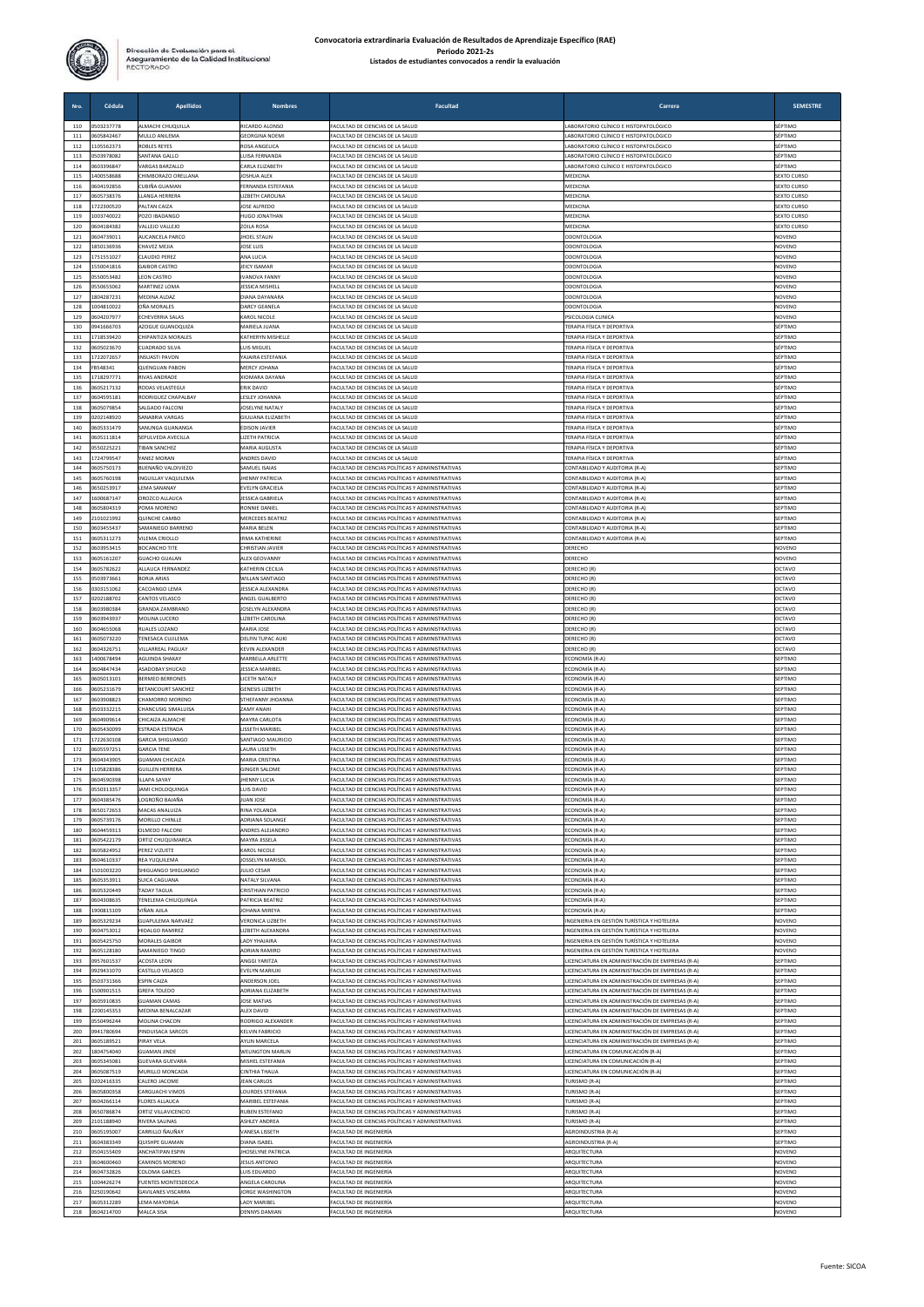

| Nro.       | Cédula                   | <b>Apellidos</b>                                    | <b>Nombres</b>                                 | Facultad                                                                                             | Carrera                                                                                              | <b>SEMESTRE</b>            |
|------------|--------------------------|-----------------------------------------------------|------------------------------------------------|------------------------------------------------------------------------------------------------------|------------------------------------------------------------------------------------------------------|----------------------------|
| 110        | 0503237778               | ALMACHI CHUQUILLA                                   | RICARDO ALONSO                                 | FACULTAD DE CIENCIAS DE LA SALUD                                                                     | LABORATORIO CLÍNICO E HISTOPATOLÓGICO                                                                | SÉPTIMO                    |
| 111<br>112 | 0605842467<br>1105562373 | MULLO ANILEMA<br>ROBLES REYES                       | <b>GEORGINA NOEMI</b><br>ROSA ANGELICA         | FACULTAD DE CIENCIAS DE LA SALUD<br>ACULTAD DE CIENCIAS DE LA SALUD                                  | ABORATORIO CLÍNICO E HISTOPATOLÓGICO<br>LABORATORIO CLÍNICO E HISTOPATOLÓGICO                        | SÉPTIMO<br>SÉPTIMO         |
| 113        | 0503978082               | SANTANA GALLO                                       | UISA FERNANDA                                  | ACULTAD DE CIENCIAS DE LA SALUD                                                                      | LABORATORIO CLÍNICO E HISTOPATOLÓGICO                                                                | SÉPTIMO                    |
| 114        | 0603396847<br>400558688  | VARGAS BARZALLO                                     | CARLA ELIZABETH                                | FACULTAD DE CIENCIAS DE LA SALUD                                                                     | LABORATORIO CLÍNICO E HISTOPATOLÓGICO                                                                | SÉPTIMO<br>SEXTO CURSO     |
| 115<br>116 | 0604192856               | CHIMBORAZO ORELLANA<br>CUBIÑA GUAMAN                | JOSHUA ALEX<br>FERNANDA ESTEFANIA              | FACULTAD DE CIENCIAS DE LA SALUD<br>ACULTAD DE CIENCIAS DE LA SALUD                                  | MEDICINA<br>MEDICINA                                                                                 | <b>SEXTO CURSO</b>         |
| 117        | 0605738376               | LLANGA HERRERA                                      | <b>IZBETH CAROLINA</b>                         | FACULTAD DE CIENCIAS DE LA SALUD                                                                     | MEDICINA                                                                                             | <b>SEXTO CURSC</b>         |
| 118<br>119 | 1722300520<br>1003740022 | PALTAN CAIZA<br>POZO IBADANGO                       | <b>OSE ALFREDO</b><br><b>HUGO JONATHAN</b>     | ACULTAD DE CIENCIAS DE LA SALUD<br>ACULTAD DE CIENCIAS DE LA SALUD                                   | MEDICINA<br>MEDICINA                                                                                 | SEXTO CURSC<br>SEXTO CURSO |
| 120        | 0604184382               | VALLEJO VALLEJO                                     | ZOILA ROSA                                     | ACULTAD DE CIENCIAS DE LA SALUD                                                                      | MEDICINA                                                                                             | <b>SEXTO CURSO</b>         |
| 121        | 0604739011<br>1850136936 | AUCANCELA PARCO                                     | <b>HOEL STALIN</b>                             | FACULTAD DE CIENCIAS DE LA SALUD                                                                     | ODONTOLOGIA                                                                                          | NOVENO                     |
| 122<br>123 | 1751551027               | CHAVEZ MEJIA<br>CLAUDIO PEREZ                       | JOSE LUIS<br>ANA LUCIA                         | ACULTAD DE CIENCIAS DE LA SALUD<br>ACULTAD DE CIENCIAS DE LA SALUD                                   | ODONTOLOGIA<br>ODONTOLOGIA                                                                           | NOVENO<br>NOVENC           |
| 124        | 1550041816               | <b>GAIBOR CASTRO</b>                                | <b>EICY ISAMAF</b>                             | ACULTAD DE CIENCIAS DE LA SALUD                                                                      | ODONTOLOGIA                                                                                          | NOVENO                     |
| 125<br>126 | 0550053482<br>0550655062 | <b>LEON CASTRO</b><br>MARTINEZ LOMA                 | VANOVA FANNY<br><b>JESSICA MISHELL</b>         | ACULTAD DE CIENCIAS DE LA SALUD<br>FACULTAD DE CIENCIAS DE LA SALUD                                  | ODONTOLOGIA<br><b>ODONTOLOGIA</b>                                                                    | NOVENO<br>NOVENO           |
| 127        | 1804287231               | MEDINA ALDAZ                                        | DIANA DAYANARA                                 | FACULTAD DE CIENCIAS DE LA SALUD                                                                     | <b>ODONTOLOGIA</b>                                                                                   | NOVENC                     |
| 128        | 1004810022               | OÑA MORALES                                         | <b>DARCY GEANELA</b>                           | FACULTAD DE CIENCIAS DE LA SALUD                                                                     | ODONTOLOGIA                                                                                          | NOVENO                     |
| 129<br>130 | 1604207977<br>0941666703 | ECHEVERRIA SALAS<br>AZOGUE GUANOQUIZA               | <b>CAROL NICOLI</b><br>AARIELA JUANA           | ACULTAD DE CIENCIAS DE LA SALUD<br>ACULTAD DE CIENCIAS DE LA SALUD                                   | PSICOLOGIA CLINICA<br>TERAPIA FÍSICA Y DEPORTIVA                                                     | NOVENC<br>SÉPTIMO          |
| 131        | 1718539420               | CHIPANTIZA MORALES                                  | <b>ATHERYN MISHELLE</b>                        | ACULTAD DE CIENCIAS DE LA SALUD                                                                      | TERAPIA FÍSICA Y DEPORTIVA                                                                           | SÉPTIMO                    |
| 132<br>133 | 0605023670<br>1722072657 | CUADRADO SILVA<br>INSUASTI PAVON                    | UIS MIGUEL<br>AJAIRA ESTEFANIA                 | ACULTAD DE CIENCIAS DE LA SALUD<br>ACULTAD DE CIENCIAS DE LA SALUD                                   | TERAPIA FÍSICA Y DEPORTIVA<br>TERAPIA FÍSICA Y DEPORTIVA                                             | SÉPTIMO<br>SÉPTIMO         |
| 134        | FB548341                 | <b>QUENGUAN PABON</b>                               | MERCY JOHANA                                   | ACULTAD DE CIENCIAS DE LA SALUD                                                                      | TERAPIA FÍSICA Y DEPORTIVA                                                                           | SÉPTIMO                    |
| 135        | 1718297771               | <b>RIVAS ANDRADE</b>                                | <b>XIOMARA DAYANA</b>                          | FACULTAD DE CIENCIAS DE LA SALUD                                                                     | TERAPIA FÍSICA Y DEPORTIVA                                                                           | SÉPTIMO                    |
| 136<br>137 | 0605217132<br>0604595181 | RODAS VELASTEGU<br>RODRIGUEZ CHAPALBAY              | ERIK DAVID<br><b>ESLEY JOHANNA</b>             | ACULTAD DE CIENCIAS DE LA SALUD<br>ACULTAD DE CIENCIAS DE LA SALUD                                   | TERAPIA FÍSICA Y DEPORTIVA<br>TERAPIA FÍSICA Y DEPORTIVA                                             | SÉPTIMO<br>SÉPTIMO         |
| 138        | 0605079854               | SALGADO FALCONI                                     | <b>OSELYNE NATALY</b>                          | ACULTAD DE CIENCIAS DE LA SALUD                                                                      | TERAPIA FÍSICA Y DEPORTIVA                                                                           | SÉPTIMO                    |
| 139<br>140 | 0202148920<br>1605331479 | SANABRIA VARGAS                                     | GIULIANA ELIZABETH                             | ACULTAD DE CIENCIAS DE LA SALUD<br>FACULTAD DE CIENCIAS DE LA SALUD                                  | TERAPIA FÍSICA Y DEPORTIVA<br><b>TERAPIA FÍSICA Y DEPORTIVA</b>                                      | SÉPTIMO<br>SÉPTIMO         |
| 141        | 0605111814               | SANUNGA GUANANGA<br>SEPULVEDA AVECILLA              | <b>EDISON JAVIER</b><br><b>LIZETH PATRICIA</b> | FACULTAD DE CIENCIAS DE LA SALUD                                                                     | TERAPIA FÍSICA Y DEPORTIVA                                                                           | SÉPTIMO                    |
| 142        | 0550225221               | <b>TIBAN SANCHEZ</b>                                | MARIA AUGUSTA                                  | FACULTAD DE CIENCIAS DE LA SALUD                                                                     | TERAPIA FÍSICA Y DEPORTIVA                                                                           | SÉPTIMO                    |
| 143<br>144 | 1724799547<br>0605750173 | YANEZ MORAN<br>BUENAÑO VALDIVIEZO                   | ANDRES DAVID<br>SAMUEL ISAIAS                  | ACULTAD DE CIENCIAS DE LA SALUD<br>ACULTAD DE CIENCIAS POLÍTICAS Y ADMINISTRATIVAS                   | TERAPIA FÍSICA Y DEPORTIVA<br>CONTABILIDAD Y AUDITORIA (R-A)                                         | SÉPTIMO<br>SEPTIMO         |
| 145        | 0605760198               | INGUILLAY VAQUILEMA                                 | <b>HENNY PATRICIA</b>                          | ACULTAD DE CIENCIAS POLÍTICAS Y ADMINISTRATIVAS                                                      | CONTABILIDAD Y AUDITORIA (R-A)                                                                       | SEPTIMO                    |
| 146        | 0650253917               | LEMA SANANAY                                        | EVELYN GRACIELA                                | FACULTAD DE CIENCIAS POLÍTICAS Y ADMINISTRATIVAS                                                     | CONTABILIDAD Y AUDITORIA (R-A)                                                                       | SEPTIMO                    |
| 147<br>148 | 1600687147<br>0605804319 | OROZCO ALLALICA<br>POMA MORENO                      | <b>JESSICA GABRIELA</b><br>RONNIE DANIEL       | ACULTAD DE CIENCIAS POLÍTICAS Y ADMINISTRATIVAS<br>ACULTAD DE CIENCIAS POLÍTICAS Y ADMINISTRATIVAS   | CONTABILIDAD Y AUDITORIA (R-A)<br>ONTABILIDAD Y AUDITORIA (R-A)                                      | SEPTIMO<br>SEPTIMO         |
| 149        | 2101021992               | QUINCHE CAMBO                                       | <b>MERCEDES BEATRIZ</b>                        | ACULTAD DE CIENCIAS POLÍTICAS Y ADMINISTRATIVAS                                                      | CONTABILIDAD Y AUDITORIA (R-A)                                                                       | SEPTIMO                    |
| 150        | 0603455437               | SAMANIEGO BARRENO                                   | <b>MARIA BELEN</b>                             | ACULTAD DE CIENCIAS POLÍTICAS Y ADMINISTRATIVAS                                                      | CONTABILIDAD Y AUDITORIA (R-A)<br>CONTABILIDAD Y AUDITORIA (R-A)                                     | SEPTIMO                    |
| 151<br>152 | 0605311273<br>0603953415 | VILEMA CRIOLLO<br><b>BOCANCHO TITE</b>              | <b>IRMA KATHERINE</b><br>CHRISTIAN JAVIER      | FACULTAD DE CIENCIAS POLÍTICAS Y ADMINISTRATIVAS<br>ACULTAD DE CIENCIAS POLÍTICAS Y ADMINISTRATIVAS  | DERECHO                                                                                              | SEPTIMO<br>NOVENO          |
| 153        | 0605161207               | <b>GUACHO GUALAN</b>                                | ALEX GEOVANNY                                  | ACULTAD DE CIENCIAS POLÍTICAS Y ADMINISTRATIVAS                                                      | DERECHO                                                                                              | NOVENO                     |
| 154<br>155 | 0605782622<br>0503973661 | ALLAUCA FERNANDEZ<br>BORJA ARIAS                    | KATHERIN CECILIA<br><b>NILLAN SANTIAGO</b>     | ACULTAD DE CIENCIAS POLÍTICAS Y ADMINISTRATIVAS<br>ACULTAD DE CIENCIAS POLÍTICAS Y ADMINISTRATIVAS   | DERECHO (R)<br>DERECHO (R)                                                                           | OCTAVO<br>OCTAVO           |
| 156        | 0303151062               | CACOANGO LEMA                                       | ESSICA ALEXANDRA                               | ACULTAD DE CIENCIAS POLÍTICAS Y ADMINISTRATIVAS                                                      | DERECHO (R)                                                                                          | OCTAVO                     |
| 157        | 0202188702               | CANTOS VELASCO                                      | ANGEL GUALBERTO                                | ACULTAD DE CIENCIAS POLÍTICAS Y ADMINISTRATIVAS                                                      | DERECHO (R)                                                                                          | OCTAVO                     |
| 158<br>159 | 0603980384<br>0603943937 | GRANDA ZAMBRANO<br>MOLINA LUCERO                    | OSELYN ALEXANDRA<br><b>IZBETH CAROLINA</b>     | ACULTAD DE CIENCIAS POLÍTICAS Y ADMINISTRATIVAS<br>ACULTAD DE CIENCIAS POLÍTICAS Y ADMINISTRATIVAS   | DERECHO (R)<br>DERECHO (R)                                                                           | OCTAVO<br>OCTAVO           |
| 160        | 0604655068               | RUALES LOZANO                                       | MARIA JOSE                                     | FACULTAD DE CIENCIAS POLÍTICAS Y ADMINISTRATIVAS                                                     | DERECHO (R)                                                                                          | OCTAVO                     |
| 161<br>162 | 0605073220<br>0604326751 | TENESACA CUJILEMA<br>VILLARREAL PAGUAY              | DELFIN TUPAC AUKI<br>KEVIN ALEXANDER           | ACULTAD DE CIENCIAS POLÍTICAS Y ADMINISTRATIVAS<br>ACULTAD DE CIENCIAS POLÍTICAS Y ADMINISTRATIVAS   | DERECHO (R)<br>DERECHO (R)                                                                           | OCTAVO<br>OCTAVO           |
| 163        | 1400678494               | AGUINDA SHAKAY                                      | MARBELLA ARLETTE                               | ACULTAD DE CIENCIAS POLÍTICAS Y ADMINISTRATIVAS                                                      | ECONOMÍA (R-A                                                                                        | SEPTIMO                    |
| 164        | 0604847434               | ASADOBAY SHUCAD                                     | <b>JESSICA MARIBEL</b>                         | ACULTAD DE CIENCIAS POLÍTICAS Y ADMINISTRATIVAS                                                      | ECONOMÍA (R-A)                                                                                       | SEPTIMO                    |
| 165<br>166 | 0605013101<br>0605231679 | <b>BERMEO BERRONES</b><br><b>BETANCOURT SANCHEZ</b> | <b>JICETH NATALY</b><br><b>GENESIS LIZBETH</b> | FACULTAD DE CIENCIAS POLÍTICAS Y ADMINISTRATIVAS<br>ACULTAD DE CIENCIAS POLÍTICAS Y ADMINISTRATIVAS  | ECONOMÍA (R-A)<br>ECONOMÍA (R-A)                                                                     | SEPTIMO<br>SEPTIMO         |
| 167        | 0603908823               | CHAMORRO MORENO                                     | STHEFANNY JHOANNA                              | FACULTAD DE CIENCIAS POLÍTICAS Y ADMINISTRATIVAS                                                     | ECONOMÍA (R-A)                                                                                       | SEPTIMO                    |
| 168        | 0503332215               | CHANCUSIG SIMALUISA                                 | AMY ANAHI                                      | ACULTAD DE CIENCIAS POLÍTICAS Y ADMINISTRATIVAS                                                      | ECONOMÍA (R-A)                                                                                       | SEPTIMO                    |
| 169<br>170 | 0604909614<br>0605430099 | CHICAIZA ALMACHE<br>ESTRADA ESTRADA                 | MAYRA CARLOTA<br>LISSETH MARIBEL               | ACULTAD DE CIENCIAS POLÍTICAS Y ADMINISTRATIVAS<br>ACULTAD DE CIENCIAS POLÍTICAS Y ADMINISTRATIVAS   | ECONOMÍA (R-A)<br>ECONOMÍA (R-A)                                                                     | SEPTIMO<br>SEPTIMO         |
| 171        | 1722630108               | <b>GARCIA SHIGUANGO</b>                             | SANTIAGO MAURICIO                              | FACULTAD DE CIENCIAS POLÍTICAS Y ADMINISTRATIVAS                                                     | ECONOMÍA (R-A)                                                                                       | SEPTIMO                    |
| 172<br>173 | 0605597251<br>0604343905 | <b>GARCIA TENE</b><br><b>GUAMAN CHICAIZA</b>        | <b>AURA USSETH</b><br><b>MARIA CRISTINA</b>    | ACULTAD DE CIENCIAS POLÍTICAS Y ADMINISTRATIVAS<br>ACULTAD DE CIENCIAS POLÍTICAS Y ADMINISTRATIVAS   | ECONOMÍA (R-A)<br>ECONOMÍA (R-A)                                                                     | SEPTIMO<br>SEPTIMC         |
| 174        | 105828386                | <b>GUILLEN HERRERA</b>                              | <b>GINGER SALOME</b>                           | ACULTAD DE CIENCIAS POLÍTICAS Y ADMINISTRATIVAS                                                      | ECONOMÍA (R-A)                                                                                       | SEPTIMC                    |
| 175        | 0604590398               | ILLAPA SAYAY                                        | <b>HENNY LUCIA</b>                             | <b>FACULTAD DE CIENCIAS POLÍTICAS Y ADMINISTRATIVAS</b>                                              | ECONOMÍA (R-A)                                                                                       | SEPTIMO                    |
| 176<br>177 | 1550313357<br>0604385476 | JAMI CHOLOQUINGA<br>LOGROÑO BAJAÑA                  | LUIS DAVID<br><b>UAN JOSE</b>                  | FACULTAD DE CIENCIAS POLÍTICAS Y ADMINISTRATIVAS<br>ACULTAD DE CIENCIAS POLÍTICAS Y ADMINISTRATIVAS  | ECONOMÍA (R-A)<br>ECONOMÍA (R-A)                                                                     | SEPTIMO<br>SEPTIMO         |
| 178        | 0650172653               | MACAS ANALUIZA                                      | RINA YOLANDA                                   | ACULTAD DE CIENCIAS POLÍTICAS Y ADMINISTRATIVAS                                                      | ECONOMÍA (R-A)                                                                                       | SEPTIMO                    |
| 179<br>180 | 0605739176<br>0604459313 | MORILLO CHINLLE<br><b>OLMEDO FALCON</b>             | ADRIANA SOLANGE<br><b>INDRES ALEJANDRO</b>     | ACULTAD DE CIENCIAS POLÍTICAS Y ADMINISTRATIVAS<br>ACULTAD DE CIENCIAS POLÍTICAS Y ADMINISTRATIVAS   | ECONOMÍA (R-A)<br>ECONOMÍA (R-A)                                                                     | SEPTIMO<br>SEPTIMO         |
| 181        | 0605422179               | ORTIZ CHUQUIMARCA                                   | <b>MAYRA JISSELA</b>                           | ACULTAD DE CIENCIAS POLÍTICAS Y ADMINISTRATIVAS                                                      | ECONOMÍA (R-A)                                                                                       | SEPTIMO                    |
| 182        | 0605824952               | PEREZ VIZUETE                                       | <b>KAROL NICOLE</b>                            | ACULTAD DE CIENCIAS POLÍTICAS Y ADMINISTRATIVAS                                                      | ECONOMÍA (R-A)                                                                                       | SEPTIMO                    |
| 183<br>184 | 0604610337<br>1501003220 | REA YUQUILEMA<br>SHIGUANGO SHIGUANGO                | <b>OSSELYN MARISOL</b><br><b>JULIO CESAR</b>   | ACULTAD DE CIENCIAS POLÍTICAS Y ADMINISTRATIVAS<br>ACULTAD DE CIENCIAS POLÍTICAS Y ADMINISTRATIVAS   | ECONOMÍA (R-A)<br>ECONOMÍA (R-A)                                                                     | SEPTIMO<br>SEPTIMO         |
| 185        | 0605353911               | <b>SUICA CAGUANA</b>                                | NATALY SILVANA                                 | ACULTAD DE CIENCIAS POLÍTICAS Y ADMINISTRATIVAS                                                      | ECONOMÍA (R-A)                                                                                       | SEPTIMO                    |
| 186        | 0605320449               | <b>TADAY TAGUA</b>                                  | RISTHIAN PATRICIO<br><b>ATRICIA BEATRIZ</b>    | ACULTAD DE CIENCIAS POLÍTICAS Y ADMINISTRATIVAS                                                      | ECONOMÍA (R-A)                                                                                       | SEPTIMO                    |
| 187<br>188 | 0604308635<br>1900815109 | TENELEMA CHILIQUINGA<br>VIÑAN AJILA                 | <b>IOHANA MIREYA</b>                           | ACULTAD DE CIENCIAS POLÍTICAS Y ADMINISTRATIVAS<br>ACULTAD DE CIENCIAS POLÍTICAS Y ADMINISTRATIVAS   | ECONOMÍA (R-A)<br>ECONOMÍA (R-A)                                                                     | SEPTIMO<br>SEPTIMO         |
| 189        | 0605329234               | <b>GUAPULEMA NARVAEZ</b>                            | <b>VERONICA LIZBETH</b>                        | ACULTAD DE CIENCIAS POLÍTICAS Y ADMINISTRATIVAS                                                      | INGENIERIA EN GESTIÓN TURÍSTICA Y HOTELERA                                                           | NOVENO                     |
| 190<br>191 | 0604753012<br>0605425750 | HIDALGO RAMIREZ<br><b>MORALES GAIBOR</b>            | LIZBETH ALEXANDRA<br><b>LADY YHAIAIRA</b>      | FACULTAD DE CIENCIAS POLÍTICAS Y ADMINISTRATIVAS<br>FACULTAD DE CIENCIAS POLÍTICAS Y ADMINISTRATIVAS | INGENIERIA EN GESTIÓN TURÍSTICA Y HOTELERA<br>INGENIERIA EN GESTIÓN TURÍSTICA Y HOTELERA             | NOVENO<br>NOVENO           |
| 192        | 0605128180               | SAMANIEGO TINGO                                     | <b>IDRIAN RAMIRO</b>                           | ACULTAD DE CIENCIAS POLÍTICAS Y ADMINISTRATIVAS                                                      | INGENIERIA EN GESTIÓN TURÍSTICA Y HOTELERA                                                           | NOVENO                     |
| 193        | 0957601537<br>1929431070 | ACOSTA LEON                                         | <b>INGGI YARITZA</b>                           | ACULTAD DE CIENCIAS POLÍTICAS Y ADMINISTRATIVAS<br>ACULTAD DE CIENCIAS POLÍTICAS Y ADMINISTRATIVAS   | LICENCIATURA EN ADMINISTRACIÓN DE EMPRESAS (R-A)                                                     | SEPTIMO                    |
| 194<br>195 | 0503731366               | CASTILLO VELASCO<br>ESPIN CAIZA                     | EVELYN MARIUXI<br>ANDERSON JOEL                | FACULTAD DE CIENCIAS POLÍTICAS Y ADMINISTRATIVAS                                                     | LICENCIATURA EN ADMINISTRACIÓN DE EMPRESAS (R-A)<br>LICENCIATURA EN ADMINISTRACIÓN DE EMPRESAS (R-A) | SEPTIMO<br>SEPTIMO         |
| 196        | 1500901515               | <b>GREFA TOLEDO</b>                                 | <b>ADRIANA ELIZABETH</b>                       | FACULTAD DE CIENCIAS POLÍTICAS Y ADMINISTRATIVAS                                                     | LICENCIATURA EN ADMINISTRACIÓN DE EMPRESAS (R-A)                                                     | SEPTIMO                    |
| 197<br>198 | 0605910835               | <b>GUAMAN CAMAS</b>                                 | <b>JOSE MATIAS</b>                             | ACULTAD DE CIENCIAS POLÍTICAS Y ADMINISTRATIVAS                                                      | LICENCIATURA EN ADMINISTRACIÓN DE EMPRESAS (R-A)                                                     | SEPTIMO<br>SEPTIMC         |
| 199        | 2200145353<br>0550496244 | MEDINA BENALCAZAR<br>MOLINA CHACON                  | ALEX DAVID<br>RODRIGO ALEXANDER                | ACULTAD DE CIENCIAS POLÍTICAS Y ADMINISTRATIVAS<br>FACULTAD DE CIENCIAS POLÍTICAS Y ADMINISTRATIVAS  | LICENCIATURA EN ADMINISTRACIÓN DE EMPRESAS (R-A)<br>LICENCIATURA EN ADMINISTRACIÓN DE EMPRESAS (R-A) | SEPTIMO                    |
| 200        | 0941780694               | PINDUISACA SARCOS                                   | <b>KELVIN FABRICIO</b>                         | FACULTAD DE CIENCIAS POLÍTICAS Y ADMINISTRATIVAS                                                     | LICENCIATURA EN ADMINISTRACIÓN DE EMPRESAS (R-A)                                                     | SEPTIMO                    |
| 201<br>202 | 0605189521<br>1804754040 | PIRAY VELA<br><b>GUAMAN JINDE</b>                   | AYLIN MARCELA<br><b>WELINGTON MARLIN</b>       | FACULTAD DE CIENCIAS POLÍTICAS Y ADMINISTRATIVAS<br>FACULTAD DE CIENCIAS POLÍTICAS Y ADMINISTRATIVAS | LICENCIATURA EN ADMINISTRACIÓN DE EMPRESAS (R-A)<br>LICENCIATURA EN COMUNICACIÓN (R-A                | SEPTIMO<br>SEPTIMO         |
| 203        | 0605345081               | GUEVARA GUEVARA                                     | MISHEL ESTEFANIA                               | ACULTAD DE CIENCIAS POLÍTICAS Y ADMINISTRATIVAS                                                      | LICENCIATURA EN COMUNICACIÓN (R-A                                                                    | SEPTIMO                    |
| 204        | 0605087519               | MURILLO MONCADA                                     | CINTHIA THALIA                                 | ACULTAD DE CIENCIAS POLÍTICAS Y ADMINISTRATIVAS                                                      | LICENCIATURA EN COMUNICACIÓN (R-A)                                                                   | SEPTIMO                    |
| 205<br>206 | 0202416335<br>0605800358 | CALERO JACOME<br>CARGUACHI VIMOS                    | <b>EAN CARLOS</b><br><b>OURDES STEFANIA</b>    | ACULTAD DE CIENCIAS POLÍTICAS Y ADMINISTRATIVAS<br>FACULTAD DE CIENCIAS POLÍTICAS Y ADMINISTRATIVAS  | TURISMO (R-A)<br>TURISMO (R-A)                                                                       | SEPTIMO<br>SEPTIMO         |
| 207        | 0604266114               | <b>FLORES ALLAUCA</b>                               | MARIBEL ESTEFANIA                              | FACULTAD DE CIENCIAS POLÍTICAS Y ADMINISTRATIVAS                                                     | TURISMO (R-A)                                                                                        | SEPTIMO                    |
| 208<br>209 | 0650786874<br>2101188940 | ORTIZ VILLAVICENCIO<br>RIVERA SALINAS               | RUBEN ESTEFANO<br><b>ASHLEY ANDREA</b>         | ACULTAD DE CIENCIAS POLÍTICAS Y ADMINISTRATIVAS<br>ACULTAD DE CIENCIAS POLÍTICAS Y ADMINISTRATIVAS   | TURISMO (R-A)<br>TURISMO (R-A)                                                                       | SEPTIMO<br>SEPTIMO         |
| 210        | 0605195007               | CARRILLO ÑAUÑAY                                     | VANESA LISSETH                                 | ACULTAD DE INGENIERÍA                                                                                | AGROINDUSTRIA (R-A)                                                                                  | SEPTIMO                    |
| 211        | 0604383349               | QUISHPE GUAMAN                                      | <b>JIANA ISABEI</b>                            | ACULTAD DE INGENIERÍA                                                                                | AGROINDUSTRIA (R-A)                                                                                  | SEPTIMO                    |
| 212<br>213 | 0504155409<br>0604600460 | ANCHATIPAN ESPIN<br>AMINOS MORENO                   | HOSELYNE PATRICIA<br><b>ESUS ANTONIO</b>       | ACULTAD DE INGENIERÍA<br>ACULTAD DE INGENIERÍA                                                       | ARQUITECTURA<br>ARQUITECTURA                                                                         | NOVENO<br>NOVENO           |
| 214        | 1604732826               | COLOMA GARCES                                       | UIS EDUARDO                                    | ACULTAD DE INGENIERÍA                                                                                | ARQUITECTURA                                                                                         | NOVENO                     |
| 215        | 1004426274               | <b>FUENTES MONTESDEOCA</b>                          | ANGELA CAROLINA                                | ACULTAD DE INGENIERÍA                                                                                | ARQUITECTURA                                                                                         | NOVENO                     |
| 216<br>217 | 0250190642<br>605312289  | <b>GAVILANES VISCARRA</b><br>EMA MAYORGA            | <b>IORGE WASHINGTON</b><br><b>ADY MARIBEI</b>  | FACULTAD DE INGENIERÍA<br>ACULTAD DE INGENIERÍA                                                      | <b>ARQUITECTURA</b><br>ARQUITECTURA                                                                  | NOVENO<br>VOVENO           |
| 218        | 0604214700               | MALCA SISA                                          | <b>DENNYS DAMIAN</b>                           | FACULTAD DE INGENIERÍA                                                                               | ARQUITECTURA                                                                                         | NOVENO                     |